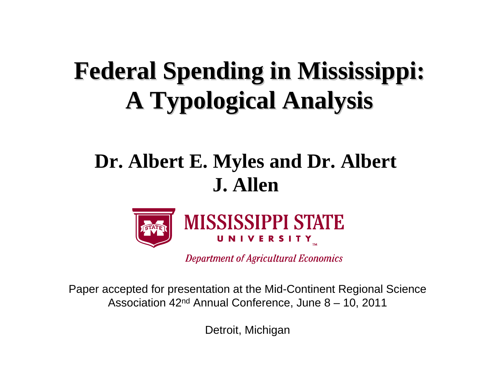# **Federal Spending in Mississippi: Federal Spending in Mississippi: A Typological Analysis A Typological Analysis**

### **Dr. Albert E. Myles and Dr. Albert J. Allen**



**Department of Agricultural Economics** 

Paper accepted for presentation at the Mid-Continent Regional Science Association 42nd Annual Conference, June 8 – 10, 2011

Detroit, Michigan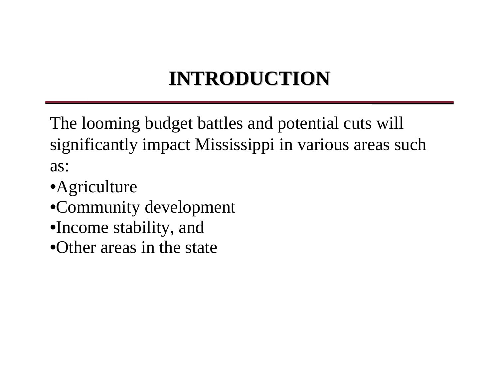### **INTRODUCTION INTRODUCTION**

The looming budget battles and potential cuts will significantly impact Mississippi in various areas such as:

- •Agriculture
- •Community development
- •Income stability, and
- •Other areas in the state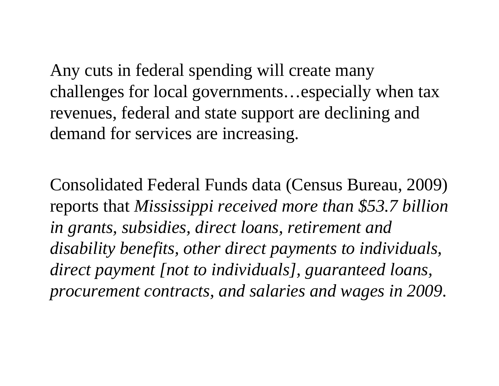Any cuts in federal spending will create many challenges for local governments…especially when tax revenues, federal and state support are declining and demand for services are increasing.

Consolidated Federal Funds data (Census Bureau, 2009) reports that *Mississippi received more than \$53.7 billion in grants, subsidies, direct loans, retirement and disability benefits, other direct payments to individuals, direct payment [not to individuals], guaranteed loans, procurement contracts, and salaries and wages in 2009*.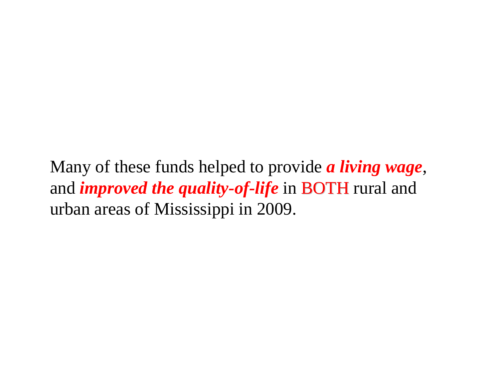Many of these funds helped to provide *a living wage*, and *improved the quality-of-life* in **BOTH** rural and urban areas of Mississippi in 2009.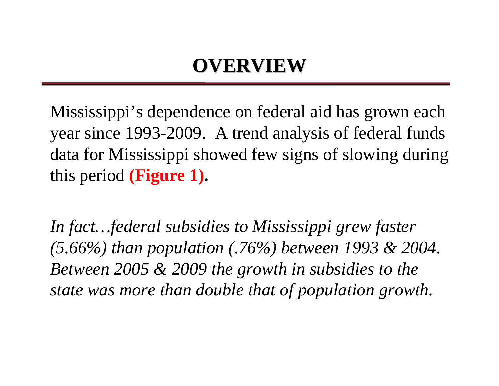# **OVERVIEW OVERVIEW**

Mississippi's dependence on federal aid has grown each year since 1993-2009. A trend analysis of federal funds data for Mississippi showed few signs of slowing during this period **(Figure 1).**

*In fact…federal subsidies to Mississippi grew faster (5.66%) than population (.76%) between 1993 & 2004. Between 2005 & 2009 the growth in subsidies to the state was more than double that of population growth.*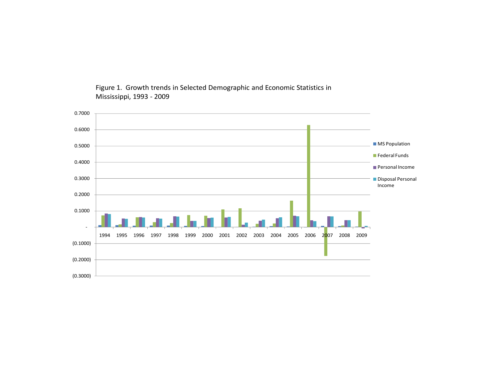(0.3000) (0.2000) (0.1000)  $\overline{\phantom{a}}$ 0.1000 0.20000.3000 0.4000 0.50000.6000 0.70001994 1995 1996 1997 1998 1999 2000 2001 2002 2003 2004 2005 2006 2007 2008 20092007 2008 2009 MS Population Federal Funds Personal Income**Disposal Personal** Income

Figure 1. Growth trends in Selected Demographic and Economic Statistics in Mississippi, 1993 ‐ 2009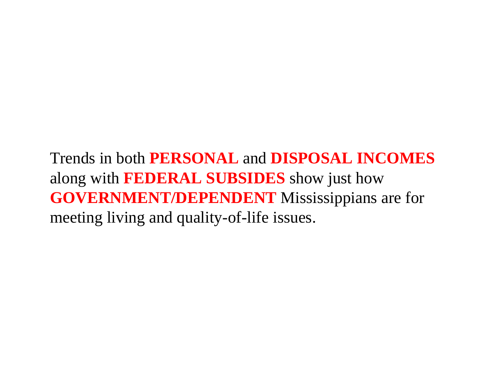Trends in both **PERSONAL** and **DISPOSAL INCOMES**  along with **FEDERAL SUBSIDES** show just how **GOVERNMENT/DEPENDENT** Mississippians are for meeting living and quality-of-life issues.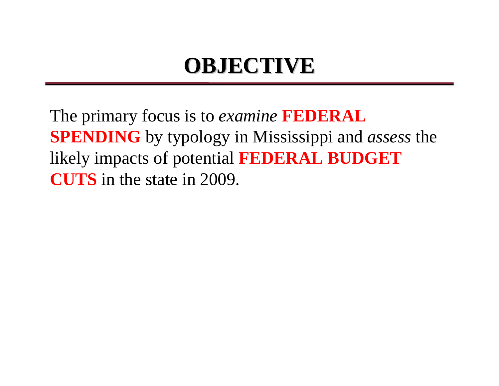# **OBJECTIVE OBJECTIVE**

The primary focus is to *examine* **FEDERAL SPENDING** by typology in Mississippi and *assess* the likely impacts of potential **FEDERAL BUDGET CUTS** in the state in 2009.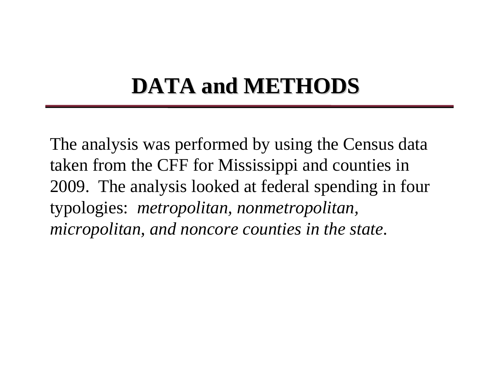# **DATA and METHODS DATA and METHODS**

The analysis was performed by using the Census data taken from the CFF for Mississippi and counties in 2009. The analysis looked at federal spending in four typologies: *metropolitan, nonmetropolitan, micropolitan, and noncore counties in the state*.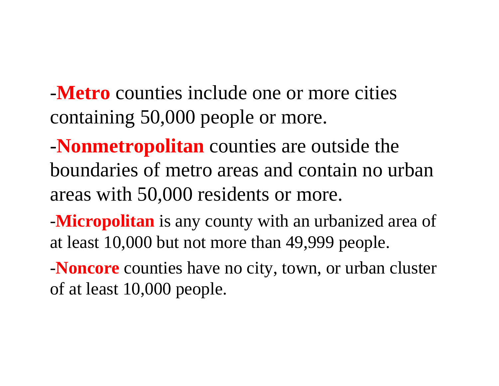-**Metro** counties include one or more cities containing 50,000 people or more.

-**Nonmetropolitan** counties are outside the boundaries of metro areas and contain no urban areas with 50,000 residents or more.

-**Micropolitan** is any county with an urbanized area of at least 10,000 but not more than 49,999 people.

-**Noncore** counties have no city, town, or urban cluster of at least 10,000 people.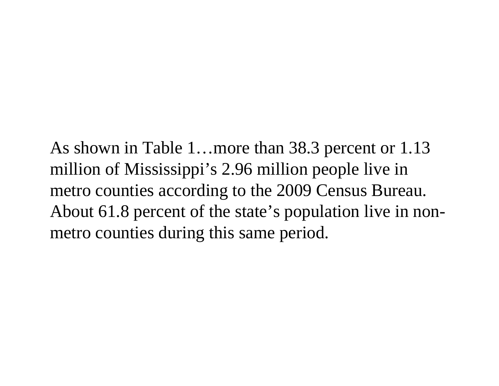As shown in Table 1…more than 38.3 percent or 1.13 million of Mississippi's 2.96 million people live in metro counties according to the 2009 Census Bureau. About 61.8 percent of the state's population live in nonmetro counties during this same period.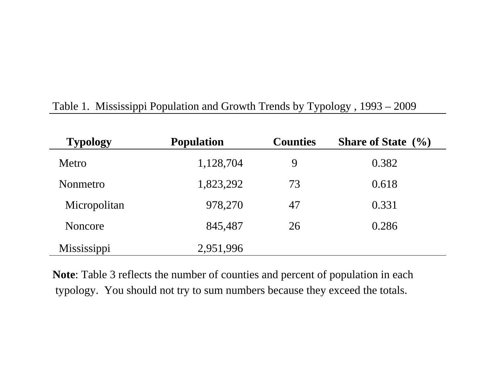| <b>Typology</b> | <b>Population</b> | <b>Counties</b> | <b>Share of State</b> $(\%)$ |
|-----------------|-------------------|-----------------|------------------------------|
| Metro           | 1,128,704         | 9               | 0.382                        |
| Nonmetro        | 1,823,292         | 73              | 0.618                        |
| Micropolitan    | 978,270           | 47              | 0.331                        |
| Noncore         | 845,487           | 26              | 0.286                        |
| Mississippi     | 2,951,996         |                 |                              |

#### Table 1. Mississippi Population and Growth Trends by Typology , 1993 – 2009

**Note**: Table 3 reflects the number of counties and percent of population in each typology. You should not try to sum numbers because they exceed the totals.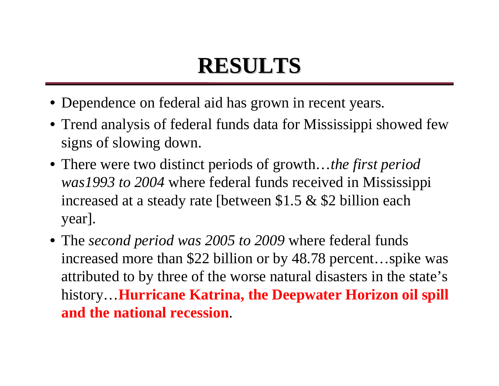# **RESULTS RESULTS**

- Dependence on federal aid has grown in recent years.
- Trend analysis of federal funds data for Mississippi showed few signs of slowing down.
- There were two distinct periods of growth…*the first period was1993 to 2004* where federal funds received in Mississippi increased at a steady rate [between \$1.5 & \$2 billion each year].
- The *second period was 2005 to 2009* where federal funds increased more than \$22 billion or by 48.78 percent…spike was attributed to by three of the worse natural disasters in the state's history…**Hurricane Katrina, the Deepwater Horizon oil spill and the national recession**.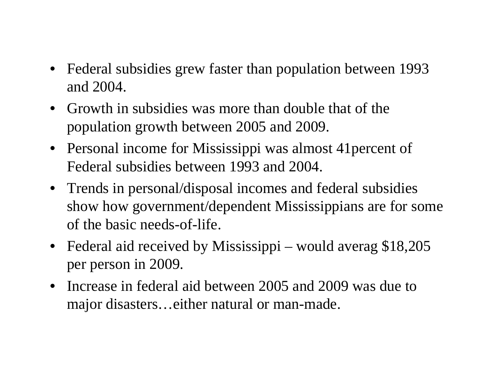- Federal subsidies grew faster than population between 1993 and 2004.
- Growth in subsidies was more than double that of the population growth between 2005 and 2009.
- Personal income for Mississippi was almost 41 percent of Federal subsidies between 1993 and 2004.
- Trends in personal/disposal incomes and federal subsidies show how government/dependent Mississippians are for some of the basic needs-of-life.
- Federal aid received by Mississippi would averag \$18,205 per person in 2009.
- Increase in federal aid between 2005 and 2009 was due to major disasters…either natural or man-made.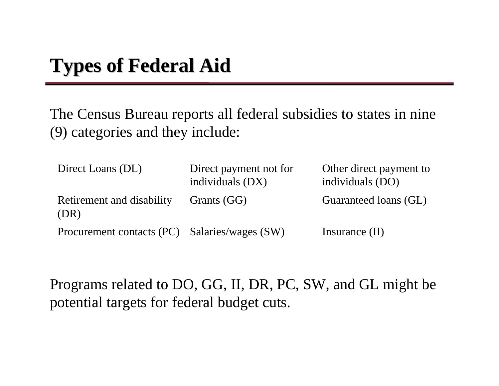The Census Bureau reports all federal subsidies to states in nine (9) categories and they include:

| Direct Loans (DL)                             | Direct payment not for<br>individuals (DX) | Other direct payment to<br>individuals (DO) |
|-----------------------------------------------|--------------------------------------------|---------------------------------------------|
| Retirement and disability<br>(DR)             | Grants (GG)                                | Guaranteed loans (GL)                       |
| Procurement contacts (PC) Salaries/wages (SW) |                                            | Insurance $(II)$                            |

Programs related to DO, GG, II, DR, PC, SW, and GL might be potential targets for federal budget cuts.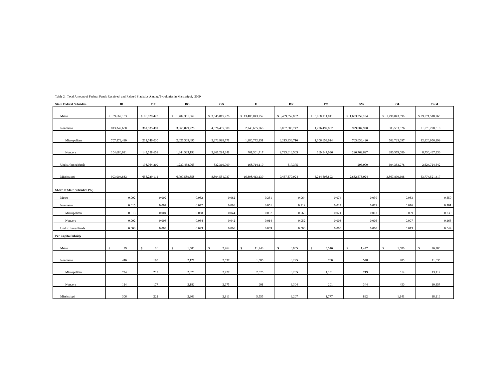| <b>State Federal Subsidies</b> | DL           | $\mathbf{DX}% =\mathbf{X}^{-1}\mathbf{X}^{-1}$ | DO              | $_{\rm GG}$           | $\,$ II                | DR                     | $_{\rm PC}$           | ${\bf SW}$      | GL              | Total            |
|--------------------------------|--------------|------------------------------------------------|-----------------|-----------------------|------------------------|------------------------|-----------------------|-----------------|-----------------|------------------|
|                                |              |                                                |                 |                       |                        |                        |                       |                 |                 |                  |
| Metro                          | \$89,662,183 | \$96,629,420                                   | \$1,702,301,669 | \$3,345,815,228       | \$13,486,043,752       | \$3,459,552,802        | \$ 3,968,111,011      | \$1,633,359,104 | \$1,790,043,596 | \$29,571,518,765 |
|                                |              |                                                |                 |                       |                        |                        |                       |                 |                 |                  |
| Nonmetro                       | 813,342,650  | 361,535,491                                    | 3,866,829,226   | 4,626,405,800         | 2,743,655,268          | 6,007,500,747          | 1,276,497,882         | 999,007,920     | 883,503,026     | 21,578,278,010   |
|                                |              |                                                |                 |                       |                        |                        |                       |                 |                 |                  |
| Micropolitan                   | 707,879,410  | 212,746,030                                    | 2,025,309,496   | 2,373,998,771         | 1,980,772,151          | 3,213,836,710          | 1,106,653,614         | 703,036,420     | 502,723,697     | 12,826,956,299   |
|                                |              |                                                |                 |                       |                        |                        |                       |                 |                 |                  |
| Noncore                        | 104,686,611  | 149,558,651                                    | 1,844,583,193   | 2,261,294,848         | 761,561,717            | 2,793,613,503          | 169,847,036           | 290,762,697     | 380,579,080     | 8,756,487,336    |
| Undistributed funds            | $\sim$       | 198,064,200                                    | 1,230,458,963   | 332,310,909           | 168,714,119            | 617,375                | $\sim$                | 206,000         | 694,353,076     | 2,624,724,642    |
|                                |              |                                                |                 |                       |                        |                        |                       |                 |                 |                  |
| Mississippi                    | 903,004,833  | 656,229,111                                    | 6,799,589,858   | 8,304,531,937         | 16,398,413,139         | 9,467,670,924          | 5,244,608,893         | 2,632,573,024   | 3,367,899,698   | 53,774,521,417   |
|                                |              |                                                |                 |                       |                        |                        |                       |                 |                 |                  |
| Share of State Subsidies (%)   |              |                                                |                 |                       |                        |                        |                       |                 |                 |                  |
| Metro                          | 0.002        | 0.002                                          | 0.032           | 0.062                 | 0.251                  | 0.064                  | 0.074                 | 0.030           | 0.033           | 0.550            |
|                                |              |                                                |                 |                       |                        |                        |                       |                 |                 |                  |
| Nonmetro                       | 0.015        | 0.007                                          | 0.072           | 0.086                 | 0.051                  | 0.112                  | 0.024                 | 0.019           | 0.016           | 0.401            |
| Micropolitan                   | 0.013        | 0.004                                          | 0.038           | 0.044                 | 0.037                  | 0.060                  | 0.021                 | 0.013           | 0.009           | 0.239            |
| Noncore                        | 0.002        | 0.003                                          | 0.034           | 0.042                 | 0.014                  | 0.052                  | 0.003                 | 0.005           | 0.007           | 0.163            |
| Undistributed funds            | 0.000        | 0.004                                          | 0.023           | 0.006                 | 0.003                  | 0.000                  | 0.000                 | 0.000           | 0.013           | 0.049            |
| Per Capita Subsidy             |              |                                                |                 |                       |                        |                        |                       |                 |                 |                  |
|                                |              |                                                |                 |                       |                        |                        |                       |                 |                 |                  |
| Metro                          | 79<br>s      | 86<br>-S.                                      | 1,508<br>-S     | 2,964<br>$\mathbf{s}$ | 11,948<br>$\mathbf{s}$ | 3,065<br><sup>\$</sup> | 3,516<br>$\mathbf{s}$ | 1,447<br>-S     | 1,586<br>\$.    | 26,200<br>-S     |
|                                |              |                                                |                 |                       |                        |                        |                       |                 |                 |                  |
| Nonmetro                       | 446          | 198                                            | 2,121           | 2,537                 | 1,505                  | 3,295                  | 700                   | 548             | 485             | 11,835           |
|                                |              |                                                |                 |                       |                        |                        |                       |                 |                 |                  |
| Micropolitan                   | 724          | 217                                            | 2,070           | 2,427                 | 2,025                  | 3,285                  | 1,131                 | 719             | 514             | 13,112           |
|                                |              |                                                |                 |                       |                        |                        |                       |                 |                 |                  |
| Noncore                        | 124          | 177                                            | 2,182           | 2,675                 | 901                    | 3,304                  | 201                   | 344             | 450             | 10,357           |
|                                |              |                                                |                 |                       |                        |                        |                       |                 |                 |                  |
| Mississippi                    | 306          | 222                                            | 2,303           | 2,813                 | 5,555                  | 3,207                  | 1,777                 | 892             | 1,141           | 18,216           |

Table 2. Total Amount of Federal Funds Received and Related Statistics Among Typologies in Mississippi, 2009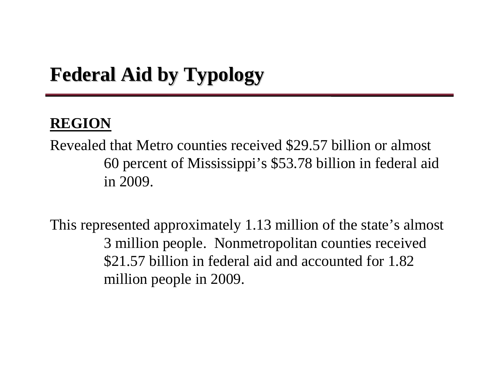## **Federal Aid by Typology Federal Aid by Typology**

#### **REGION**

Revealed that Metro counties received \$29.57 billion or almost 60 percent of Mississippi's \$53.78 billion in federal aid in 2009.

This represented approximately 1.13 million of the state's almost 3 million people. Nonmetropolitan counties received \$21.57 billion in federal aid and accounted for 1.82 million people in 2009.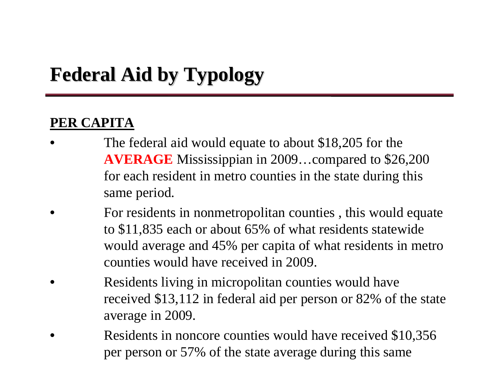# **Federal Aid by Typology Federal Aid by Typology**

#### **PER CAPITA**

- The federal aid would equate to about \$18,205 for the **AVERAGE** Mississippian in 2009…compared to \$26,200 for each resident in metro counties in the state during this same period.
- For residents in nonmetropolitan counties , this would equate to \$11,835 each or about 65% of what residents statewide would average and 45% per capita of what residents in metro counties would have received in 2009.
- Residents living in micropolitan counties would have received \$13,112 in federal aid per person or 82% of the state average in 2009.
- Residents in noncore counties would have received \$10,356 per person or 57% of the state average during this same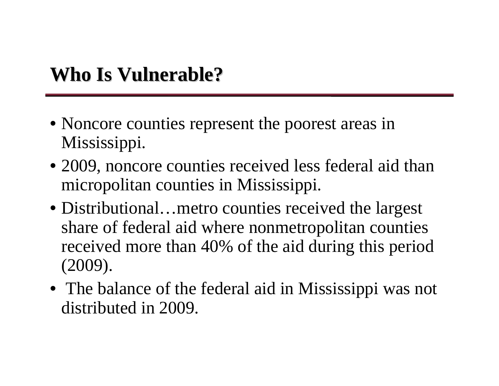- Noncore counties represent the poorest areas in Mississippi.
- 2009, noncore counties received less federal aid than micropolitan counties in Mississippi.
- Distributional... metro counties received the largest share of federal aid where nonmetropolitan counties received more than 40% of the aid during this period (2009).
- The balance of the federal aid in Mississippi was not distributed in 2009.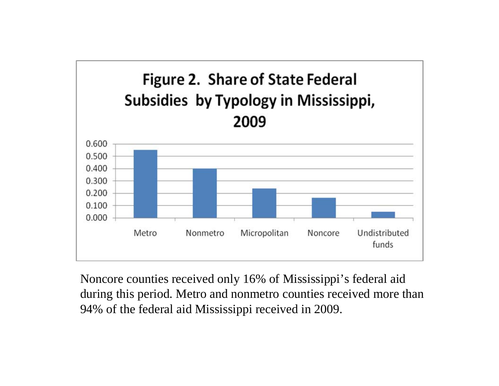

Noncore counties received only 16% of Mississippi's federal aid during this period. Metro and nonmetro counties received more than 94% of the federal aid Mississippi received in 2009.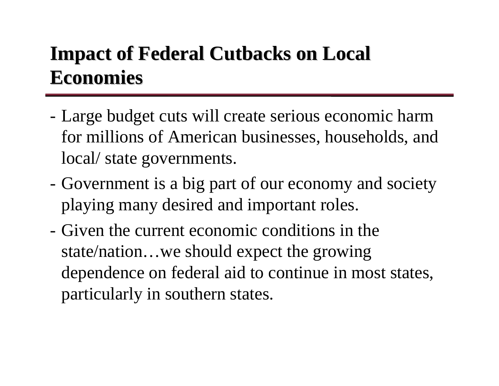# **Impact of Federal Cutbacks on Local Economies Economies**

- Large budget cuts will create serious economic harm for millions of American businesses, households, and local/ state governments.
- Government is a big part of our economy and society playing many desired and important roles.
- Given the current economic conditions in the state/nation…we should expect the growing dependence on federal aid to continue in most states, particularly in southern states.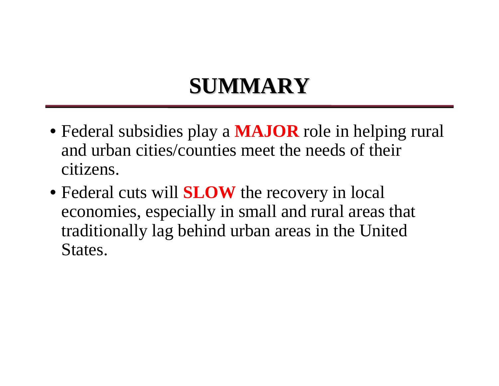# **SUMMARY SUMMARY**

- Federal subsidies play a **MAJOR** role in helping rural and urban cities/counties meet the needs of their citizens.
- Federal cuts will **SLOW** the recovery in local economies, especially in small and rural areas that traditionally lag behind urban areas in the United States.